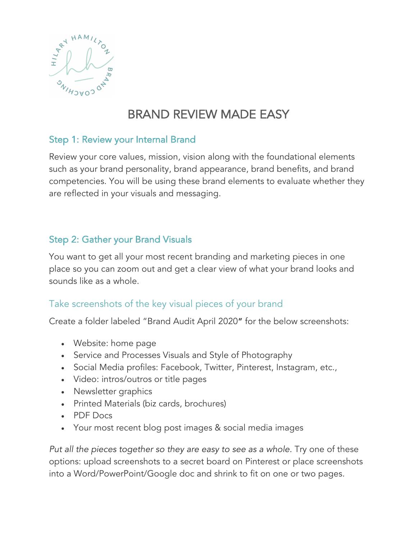

# BRAND REVIEW MADE EASY

# Step 1: Review your Internal Brand

Review your core values, mission, vision along with the foundational elements such as your brand personality, brand appearance, brand benefits, and brand competencies. You will be using these brand elements to evaluate whether they are reflected in your visuals and messaging.

# Step 2: Gather your Brand Visuals

You want to get all your most recent branding and marketing pieces in one place so you can zoom out and get a clear view of what your brand looks and sounds like as a whole.

# Take screenshots of the key visual pieces of your brand

Create a folder labeled "Brand Audit April 2020" for the below screenshots:

- Website: home page
- Service and Processes Visuals and Style of Photography
- Social Media profiles: Facebook, Twitter, Pinterest, Instagram, etc.,
- Video: intros/outros or title pages
- Newsletter graphics
- Printed Materials (biz cards, brochures)
- PDF Docs
- Your most recent blog post images & social media images

*Put all the pieces together so they are easy to see as a whole.* Try one of these options: upload screenshots to a secret board on Pinterest or place screenshots into a Word/PowerPoint/Google doc and shrink to fit on one or two pages.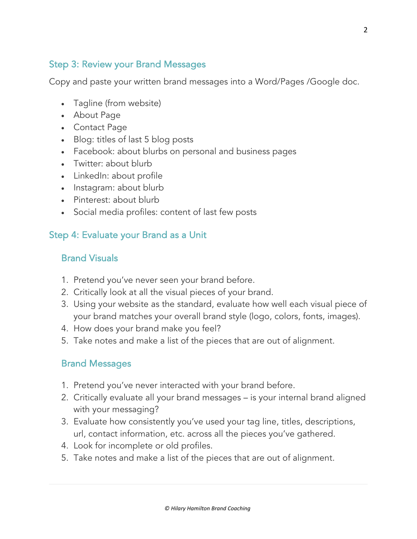# Step 3: Review your Brand Messages

Copy and paste your written brand messages into a Word/Pages /Google doc.

- Tagline (from website)
- About Page
- Contact Page
- Blog: titles of last 5 blog posts
- Facebook: about blurbs on personal and business pages
- Twitter: about blurb
- LinkedIn: about profile
- Instagram: about blurb
- Pinterest: about blurb
- Social media profiles: content of last few posts

## Step 4: Evaluate your Brand as a Unit

## Brand Visuals

- 1. Pretend you've never seen your brand before.
- 2. Critically look at all the visual pieces of your brand.
- 3. Using your website as the standard, evaluate how well each visual piece of your brand matches your overall brand style (logo, colors, fonts, images).
- 4. How does your brand make you feel?
- 5. Take notes and make a list of the pieces that are out of alignment.

### Brand Messages

- 1. Pretend you've never interacted with your brand before.
- 2. Critically evaluate all your brand messages is your internal brand aligned with your messaging?
- 3. Evaluate how consistently you've used your tag line, titles, descriptions, url, contact information, etc. across all the pieces you've gathered.
- 4. Look for incomplete or old profiles.
- 5. Take notes and make a list of the pieces that are out of alignment.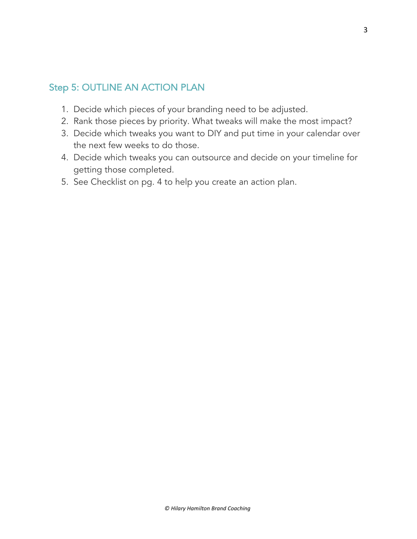# Step 5: OUTLINE AN ACTION PLAN

- 1. Decide which pieces of your branding need to be adjusted.
- 2. Rank those pieces by priority. What tweaks will make the most impact?
- 3. Decide which tweaks you want to DIY and put time in your calendar over the next few weeks to do those.
- 4. Decide which tweaks you can outsource and decide on your timeline for getting those completed.
- 5. See Checklist on pg. 4 to help you create an action plan.